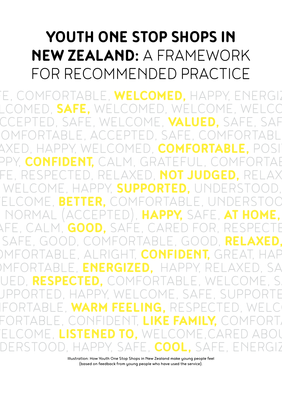# **YOUTH ONE STOP SHOPS IN NEW ZEALAND:** A FRAMEWORK FOR RECOMMENDED PRACTICE

RTABLE, WELCOMED. HAPPY, ENERGIZ WELCOMED, **SAFE,** WELCOMED, WELCOME, WELCOME, ACCEPTED, SAFE, WELCOME, **VALUED,** SAFE, SAFE, OMFORTABLE, ACCEPTED, SAFE, COMFORTABL AXED, HAPPY, WELCOMED, COMFORTABLE, POSIT PPY, CONFIDENT, CALM, GRATEFUL, COMFORTAE FE, RESPECTED, RELAXED, NOT JUDGED, RELAX WELCOME, HAPPY, **SUPPORTED,** UNDERSTOOD, WELCOME, **BETTER,** COMFORTABLE, UNDERSTOOD, L (ACCEPTED), HAPPY,<br>M GOOD, SAFF, CARFD SPE, CALM, GOOD, SAFE, CARED FOR, RESPECTE SAFE, GOOD, COMFORTABLE, GOOD, **RELAXED,** MFORTABLE, ALRIGHT, CONFIDENT, GREAT, HAP MFORTABLE, ENERGIZED, HAPPY, RELAXED, SA UED, RESPECTED, COMFORTABLE, WELCOME, S. JPPORTED, HAPPY, WELCOME, SAFE, SUPPORTE IFORTABLE, WARM FEELING, RESPECTED, WELC FORTABLE, CONFIDENT, LIKE FAMILY, COMFORT, WELCOME, **LISTENED TO,** WELCOME,CARED ABOUT, DERSTOOD, HAPPY, SAFE, COOL, SAFE, ENERGIZ

> Illustration: How Youth One Stop Shops in New Zealand make young people feel (based on feedback from young people who have used the service).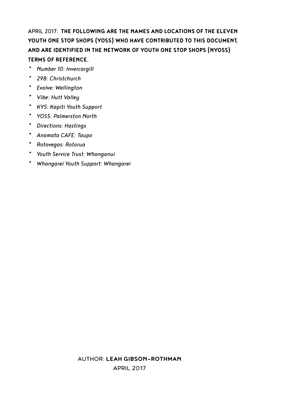## APRIL 2017: **THE FOLLOWING ARE THE NAMES AND LOCATIONS OF THE ELEVEN YOUTH ONE STOP SHOPS (YOSS) WHO HAVE CONTRIBUTED TO THIS DOCUMENT, AND ARE IDENTIFIED IN THE NETWORK OF YOUTH ONE STOP SHOPS (NYOSS) TERMS OF REFERENCE.**

- *Number 10: Invercargill*
- *298: Christchurch*
- *Evolve: Wellington*
- *Vibe: Hutt Valley*
- *KYS: Kapiti Youth Support* • *YOSS: Palmerston North*
- *Directions: Hastings*
- 
- *Anamata CAFE: Taupo*
- *Rotovegas: Rotorua*
- *Youth Service Trust: Whanganui*
- *Whangarei Youth Support: Whangarei*

## AUTHOR: **LEAH GIBSON-ROTHMAN**

APRIL 2017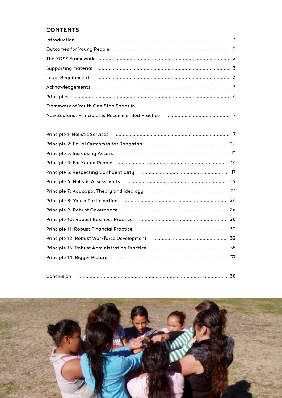## **CONTENTS**

| Outcomes for Young People (2000) 2000 March 2000 March 2000 March 2000 March 2000 March 2000 March 2000 March 2                                                                                                                |  |
|--------------------------------------------------------------------------------------------------------------------------------------------------------------------------------------------------------------------------------|--|
|                                                                                                                                                                                                                                |  |
| Supporting material manufactured and the control material material material material manufactured and the state of                                                                                                             |  |
| Legal Requirements (and the continuum contract and the contract of the contract of the contract of the contract of the contract of the contract of the contract of the contract of the contract of the contract of the contrac |  |
|                                                                                                                                                                                                                                |  |
|                                                                                                                                                                                                                                |  |
| Framework of Youth One Stop Shops in                                                                                                                                                                                           |  |
|                                                                                                                                                                                                                                |  |

| Principle 3: Increasing Access (and the continuum continuum contracts and the Principle 3: Increasing Access (   |  |
|------------------------------------------------------------------------------------------------------------------|--|
| Principle 4: For Young People (100) (100) (100) (100) (100) (100) (100) (100) (100) (100) (100) (100) (100) (1   |  |
|                                                                                                                  |  |
| Principle 6: Holistic Assessments (2008) 2008 (2009) 2010 2010 2010 2010 2010 2011 2010 2011 2010 2011 2012 20   |  |
|                                                                                                                  |  |
| 24<br>Principle 8: Youth Participation (1) manufacture and the Stringer Principle 8: Youth Participation         |  |
| 26<br>Principle 9: Robust Governance                                                                             |  |
| 28<br>Principle 10: Robust Business Practice manufacture and the contract of the contract of Principle 10:       |  |
| 30<br>Principle 11: Robust Financial Practice                                                                    |  |
| Principle 12: Robust Workforce Development (and the continuum control of 22)                                     |  |
| 35<br>Principle 13: Robust Administration Practice manufactured and principle 13: Robust Administration Practice |  |
| Principle 14: Bigger Picture (1999) (1999) (1999) (1999) (1999) (1999) (1999) (1999) (1999) (1999) (1999) (19    |  |
|                                                                                                                  |  |

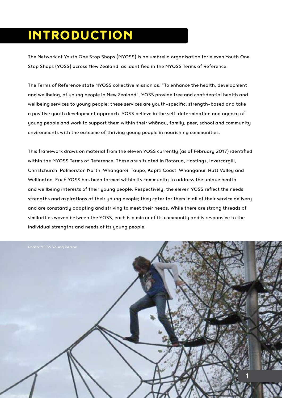## INTRODUCTION

The Network of Youth One Stop Shops (NYOSS) is an umbrella organisation for eleven Youth One Stop Shops (YOSS) across New Zealand, as identified in the NYOSS Terms of Reference.

The Terms of Reference state NYOSS collective mission as: "To enhance the health, development and wellbeing, of young people in New Zealand". YOSS provide free and confidential health and wellbeing services to young people; these services are youth-specific, strength-based and take a positive youth development approach. YOSS believe in the self-determination and agency of young people and work to support them within their whānau, family, peer, school and community environments with the outcome of thriving young people in nourishing communities.

This framework draws on material from the eleven YOSS currently (as of February 2017) identified within the NYOSS Terms of Reference. These are situated in Rotorua, Hastings, Invercargill, Christchurch, Palmerston North, Whangarei, Taupo, Kapiti Coast, Whanganui, Hutt Valley and Wellington. Each YOSS has been formed within its community to address the unique health and wellbeing interests of their young people. Respectively, the eleven YOSS reflect the needs, strengths and aspirations of their young people; they cater for them in all of their service delivery and are constantly adapting and striving to meet their needs. While there are strong threads of similarities woven between the YOSS, each is a mirror of its community and is responsive to the individual strengths and needs of its young people.

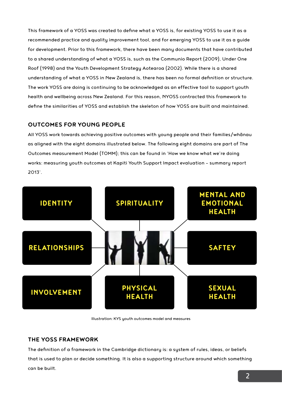This framework of a YOSS was created to define what a YOSS is, for existing YOSS to use it as a recommended practice and quality improvement tool, and for emerging YOSS to use it as a guide for development. Prior to this framework, there have been many documents that have contributed to a shared understanding of what a YOSS is, such as the Communio Report (2009), Under One Roof (1998) and the Youth Development Strategy Aotearoa (2002). While there is a shared understanding of what a YOSS in New Zealand is, there has been no formal definition or structure. The work YOSS are doing is continuing to be acknowledged as an effective tool to support youth health and wellbeing across New Zealand. For this reason, NYOSS contracted this framework to define the similarities of YOSS and establish the skeleton of how YOSS are built and maintained.

## **OUTCOMES FOR YOUNG PEOPLE**

All YOSS work towards achieving positive outcomes with young people and their families/whānau as aligned with the eight domains illustrated below. The following eight domains are part of The Outcomes measurement Model (TOMM); this can be found in 'How we know what we're doing works: measuring youth outcomes at Kapiti Youth Support Impact evaluation – summary report 2013'.



Illustration: KYS youth outcomes model and measures

## **THE YOSS FRAMEWORK**

The definition of a framework in the Cambridge dictionary is: a system of rules, ideas, or beliefs that is used to plan or decide something. It is also a supporting structure around which something can be built.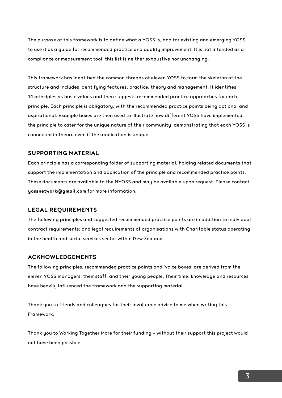The purpose of this framework is to define what a YOSS is, and for existing and emerging YOSS to use it as a guide for recommended practice and quality improvement. It is not intended as a compliance or measurement tool; this list is neither exhaustive nor unchanging.

This framework has identified the common threads of eleven YOSS to form the skeleton of the structure and includes identifying features, practice, theory and management. It identifies 14 principles as basic values and then suggests recommended practice approaches for each principle. Each principle is obligatory, with the recommended practice points being optional and aspirational. Example boxes are then used to illustrate how different YOSS have implemented the principle to cater for the unique nature of their community, demonstrating that each YOSS is connected in theory even if the application is unique.

#### **SUPPORTING MATERIAL**

Each principle has a corresponding folder of supporting material, holding related documents that support the implementation and application of the principle and recommended practice points. These documents are available to the NYOSS and may be available upon request. Please contact **yossnetwork@gmail.com** for more information.

#### **LEGAL REQUIREMENTS**

The following principles and suggested recommended practice points are in addition to individual contract requirements; and legal requirements of organisations with Charitable status operating in the health and social services sector within New Zealand.

#### **ACKNOWLEDGEMENTS**

The following principles, recommended practice points and 'voice boxes' are derived from the eleven YOSS managers, their staff, and their young people. Their time, knowledge and resources have heavily influenced the framework and the supporting material.

Thank you to friends and colleagues for their invaluable advice to me when writing this Framework.

Thank you to Working Together More for their funding – without their support this project would not have been possible.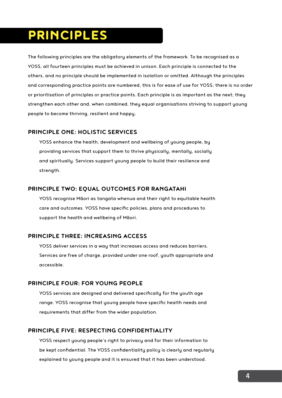## PRINCIPLES

The following principles are the obligatory elements of the framework. To be recognised as a YOSS, all fourteen principles must be achieved in unison. Each principle is connected to the others, and no principle should be implemented in isolation or omitted. Although the principles and corresponding practice points are numbered, this is for ease of use for YOSS; there is no order or prioritisation of principles or practice points. Each principle is as important as the next; they strengthen each other and, when combined, they equal organisations striving to support young people to become thriving, resilient and happy.

### **PRINCIPLE ONE: HOLISTIC SERVICES**

YOSS enhance the health, development and wellbeing of young people, by providing services that support them to thrive physically, mentally, socially and spiritually. Services support young people to build their resilience and strength.

### **PRINCIPLE TWO: EQUAL OUTCOMES FOR RANGATAHI**

YOSS recognise Māori as tangata whenua and their right to equitable health care and outcomes. YOSS have specific policies, plans and procedures to support the health and wellbeing of Māori.

## **PRINCIPLE THREE: INCREASING ACCESS**

YOSS deliver services in a way that increases access and reduces barriers. Services are free of charge, provided under one roof, youth appropriate and accessible.

## **PRINCIPLE FOUR: FOR YOUNG PEOPLE**

YOSS services are designed and delivered specifically for the youth age range. YOSS recognise that young people have specific health needs and requirements that differ from the wider population.

## **PRINCIPLE FIVE: RESPECTING CONFIDENTIALITY**

YOSS respect young people's right to privacy and for their information to be kept confidential. The YOSS confidentiality policy is clearly and regularly explained to young people and it is ensured that it has been understood.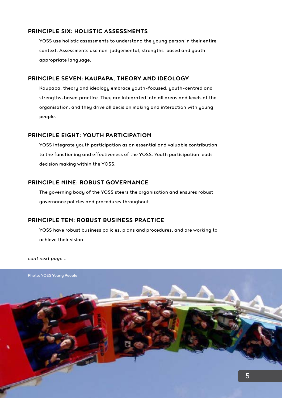## **PRINCIPLE SIX: HOLISTIC ASSESSMENTS**

YOSS use holistic assessments to understand the young person in their entire context. Assessments use non-judgemental, strengths-based and youthappropriate language.

#### **PRINCIPLE SEVEN: KAUPAPA, THEORY AND IDEOLOGY**

Kaupapa, theory and ideology embrace youth-focused, youth-centred and strengths-based practice. They are integrated into all areas and levels of the organisation, and they drive all decision making and interaction with young people.

### **PRINCIPLE EIGHT: YOUTH PARTICIPATION**

YOSS integrate youth participation as an essential and valuable contribution to the functioning and effectiveness of the YOSS. Youth participation leads decision making within the YOSS.

### **PRINCIPLE NINE: ROBUST GOVERNANCE**

The governing body of the YOSS steers the organisation and ensures robust governance policies and procedures throughout.

## **PRINCIPLE TEN: ROBUST BUSINESS PRACTICE**

YOSS have robust business policies, plans and procedures, and are working to achieve their vision.

*cont next page...*

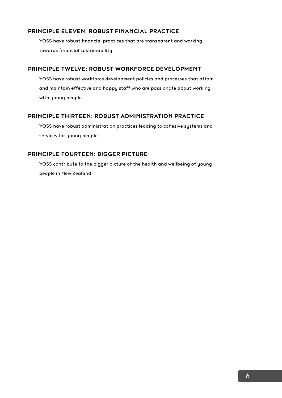## **PRINCIPLE ELEVEN: ROBUST FINANCIAL PRACTICE**

YOSS have robust financial practices that are transparent and working towards financial sustainability.

## **PRINCIPLE TWELVE: ROBUST WORKFORCE DEVELOPMENT**

YOSS have robust workforce development policies and processes that attain and maintain effective and happy staff who are passionate about working with young people.

### **PRINCIPLE THIRTEEN: ROBUST ADMINISTRATION PRACTICE**

YOSS have robust administration practices leading to cohesive systems and services for young people.

## **PRINCIPLE FOURTEEN: BIGGER PICTURE**

YOSS contribute to the bigger picture of the health and wellbeing of young people in New Zealand.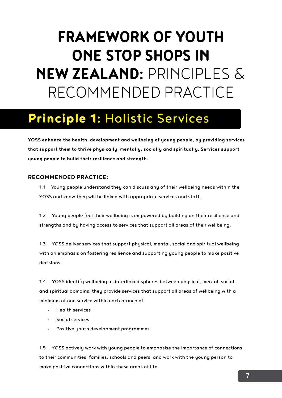# **FRAMEWORK OF YOUTH ONE STOP SHOPS IN NEW ZEALAND:** PRINCIPLES & RECOMMENDED PRACTICE

# Principle 1: Holistic Services

**YOSS enhance the health, development and wellbeing of young people, by providing services that support them to thrive physically, mentally, socially and spiritually. Services support young people to build their resilience and strength.**

### **RECOMMENDED PRACTICE:**

1.1 Young people understand they can discuss any of their wellbeing needs within the YOSS and know they will be linked with appropriate services and staff.

1.2 Young people feel their wellbeing is empowered by building on their resilience and strengths and by having access to services that support all areas of their wellbeing.

1.3 YOSS deliver services that support physical, mental, social and spiritual wellbeing with an emphasis on fostering resilience and supporting young people to make positive decisions.

1.4 YOSS identify wellbeing as interlinked spheres between physical, mental, social and spiritual domains; they provide services that support all areas of wellbeing with a minimum of one service within each branch of:

- Health services
- Social services
- Positive youth development programmes.

1.5 YOSS actively work with young people to emphasise the importance of connections to their communities, families, schools and peers; and work with the young person to make positive connections within these areas of life.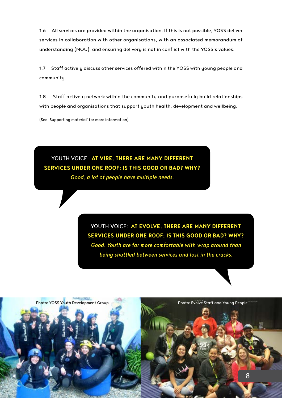1.6 All services are provided within the organisation. If this is not possible, YOSS deliver services in collaboration with other organisations, with an associated memorandum of understanding (MOU), and ensuring delivery is not in conflict with the YOSS's values.

1.7 Staff actively discuss other services offered within the YOSS with young people and community.

1.8 Staff actively network within the community and purposefully build relationships with people and organisations that support youth health, development and wellbeing.

(See 'Supporting material' for more information)

YOUTH VOICE: **AT VIBE, THERE ARE MANY DIFFERENT SERVICES UNDER ONE ROOF; IS THIS GOOD OR BAD? WHY?** *Good, a lot of people have multiple needs.* 

> YOUTH VOICE: **AT EVOLVE, THERE ARE MANY DIFFERENT SERVICES UNDER ONE ROOF; IS THIS GOOD OR BAD? WHY?**  *Good. Youth are far more comfortable with wrap around than being shuttled between services and lost in the cracks.*

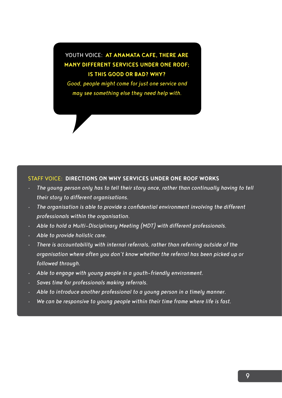## YOUTH VOICE: **AT ANAMATA CAFE, THERE ARE MANY DIFFERENT SERVICES UNDER ONE ROOF; IS THIS GOOD OR BAD? WHY?**

*Good, people might come for just one service and may see something else they need help with.* 

### STAFF VOICE: **DIRECTIONS ON WHY SERVICES UNDER ONE ROOF WORKS**

- *• The young person only has to tell their story once, rather than continually having to tell their story to different organisations.*
- *• The organisation is able to provide a confidential environment involving the different professionals within the organisation.*
- *• Able to hold a Multi-Disciplinary Meeting (MDT) with different professionals.*
- *• Able to provide holistic care.*
- *• There is accountability with internal referrals, rather than referring outside of the organisation where often you don't know whether the referral has been picked up or followed through.*
- *• Able to engage with young people in a youth-friendly environment.*
- *• Saves time for professionals making referrals.*
- *• Able to introduce another professional to a young person in a timely manner.*
- *• We can be responsive to young people within their time frame where life is fast.*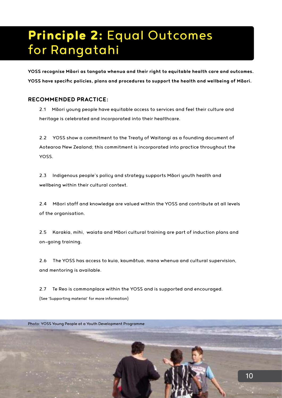# Principle 2: Equal Outcomes for Rangatahi

**YOSS recognise Māori as tangata whenua and their right to equitable health care and outcomes. YOSS have specific policies, plans and procedures to support the health and wellbeing of Māori.**

## **RECOMMENDED PRACTICE:**

2.1 Māori young people have equitable access to services and feel their culture and heritage is celebrated and incorporated into their healthcare.

2.2 YOSS show a commitment to the Treaty of Waitangi as a founding document of Aotearoa New Zealand; this commitment is incorporated into practice throughout the YOSS.

2.3 Indigenous people's policy and strategy supports Māori youth health and wellbeing within their cultural context.

2.4 Māori staff and knowledge are valued within the YOSS and contribute at all levels of the organisation.

2.5 Karakia, mihi, waiata and Māori cultural training are part of induction plans and on-going training.

2.6 The YOSS has access to kuia, kaumātua, mana whenua and cultural supervision, and mentoring is available.

2.7 Te Reo is commonplace within the YOSS and is supported and encouraged. (See 'Supporting material' for more information)

Photo: YOSS Young People at a Youth Development Programme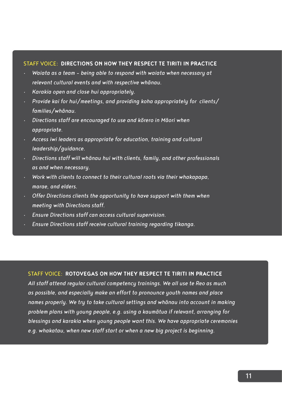#### STAFF VOICE: **DIRECTIONS ON HOW THEY RESPECT TE TIRITI IN PRACTICE**

- *• Waiata as a team being able to respond with waiata when necessary at relevant cultural events and with respective whānau.*
- *• Karakia open and close hui appropriately.*
- *• Provide kai for hui/meetings, and providing koha appropriately for clients/ families/whānau.*
- *• Directions staff are encouraged to use and kōrero in Māori when appropriate.*
- *• Access iwi leaders as appropriate for education, training and cultural leadership/guidance.*
- *• Directions staff will whānau hui with clients, family, and other professionals as and when necessary.*
- *• Work with clients to connect to their cultural roots via their whakapapa, marae, and elders.*
- *• Offer Directions clients the opportunity to have support with them when meeting with Directions staff.*
- *• Ensure Directions staff can access cultural supervision.*
- *• Ensure Directions staff receive cultural training regarding tikanga.*

### STAFF VOICE: **ROTOVEGAS ON HOW THEY RESPECT TE TIRITI IN PRACTICE**

*All staff attend regular cultural competency trainings. We all use te Reo as much as possible, and especially make an effort to pronounce youth names and place names properly. We try to take cultural settings and whānau into account in making problem plans with young people, e.g. using a kaumātua if relevant, arranging for blessings and karakia when young people want this. We have appropriate ceremonies e.g. whakatau, when new staff start or when a new big project is beginning.*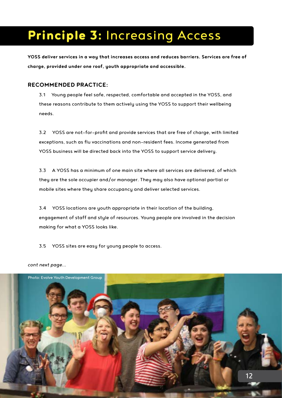# Principle 3: Increasing Access

**YOSS deliver services in a way that increases access and reduces barriers. Services are free of charge, provided under one roof, youth appropriate and accessible.** 

## **RECOMMENDED PRACTICE:**

3.1 Young people feel safe, respected, comfortable and accepted in the YOSS, and these reasons contribute to them actively using the YOSS to support their wellbeing needs.

3.2 YOSS are not-for-profit and provide services that are free of charge, with limited exceptions, such as flu vaccinations and non-resident fees. Income generated from YOSS business will be directed back into the YOSS to support service delivery.

3.3 A YOSS has a minimum of one main site where all services are delivered, of which they are the sole occupier and/or manager. They may also have optional partial or mobile sites where they share occupancy and deliver selected services.

3.4 YOSS locations are youth appropriate in their location of the building, engagement of staff and style of resources. Young people are involved in the decision making for what a YOSS looks like.

3.5 YOSS sites are easy for young people to access.



#### *cont next page...*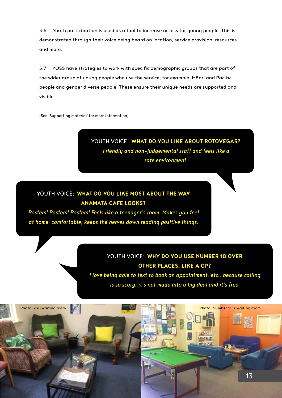3.6 Youth participation is used as a tool to increase access for young people. This is demonstrated through their voice being heard on location, service provision, resources and more.

3.7 YOSS have strategies to work with specific demographic groups that are part of the wider group of young people who use the service, for example, Māori and Pacific people and gender diverse people. These ensure their unique needs are supported and visible.

(See 'Supporting material' for more information)

## YOUTH VOICE: **WHAT DO YOU LIKE ABOUT ROTOVEGAS?** *Friendly and non-judgemental staff and feels like a safe environment.*

## YOUTH VOICE: **WHAT DO YOU LIKE MOST ABOUT THE WAY ANAMATA CAFE LOOKS?**

*Posters! Posters! Posters! Feels like a teenager's room. Makes you feel at home, comfortable, keeps the nerves down reading positive things.* 

## YOUTH VOICE: **WHY DO YOU USE NUMBER 10 OVER OTHER PLACES, LIKE A GP?**

*I love being able to text to book an appointment, etc., because calling is so scary; it's not made into a big deal and it's free.* 

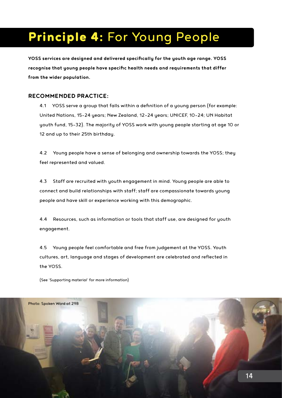# Principle 4: For Young People

**YOSS services are designed and delivered specifically for the youth age range. YOSS recognise that young people have specific health needs and requirements that differ from the wider population.** 

### **RECOMMENDED PRACTICE:**

4.1 YOSS serve a group that falls within a definition of a young person (for example: United Nations, 15–24 years; New Zealand, 12–24 years; UNICEF, 10–24; UN Habitat youth fund, 15–32). The majority of YOSS work with young people starting at age 10 or 12 and up to their 25th birthday.

4.2 Young people have a sense of belonging and ownership towards the YOSS; they feel represented and valued.

4.3 Staff are recruited with youth engagement in mind. Young people are able to connect and build relationships with staff; staff are compassionate towards young people and have skill or experience working with this demographic.

4.4 Resources, such as information or tools that staff use, are designed for youth engagement.

4.5 Young people feel comfortable and free from judgement at the YOSS. Youth cultures, art, language and stages of development are celebrated and reflected in the YOSS.

(See 'Supporting material' for more information)

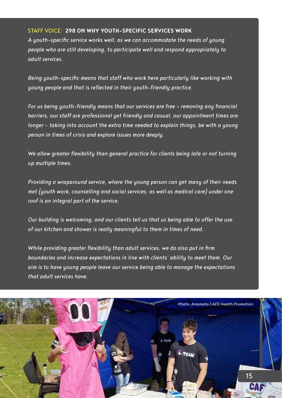### STAFF VOICE: **298 ON WHY YOUTH-SPECIFIC SERVICES WORK**

*A youth-specific service works well, as we can accommodate the needs of young people who are still developing, to participate well and respond appropriately to adult services.*

*Being youth-specific means that staff who work here particularly like working with young people and that is reflected in their youth-friendly practice.*

*For us being youth-friendly means that our services are free – removing any financial barriers, our staff are professional yet friendly and casual, our appointment times are*  longer - taking into account the extra time needed to explain things, be with a young *person in times of crisis and explore issues more deeply.*

*We allow greater flexibility than general practice for clients being late or not turning up multiple times.* 

*Providing a wraparound service, where the young person can get many of their needs met (youth work, counselling and social services, as well as medical care) under one roof is an integral part of the service.* 

*Our building is welcoming, and our clients tell us that us being able to offer the use of our kitchen and shower is really meaningful to them in times of need.*

*While providing greater flexibility than adult services, we do also put in firm boundaries and increase expectations in line with clients' ability to meet them. Our aim is to have young people leave our service being able to manage the expectations that adult services have.*

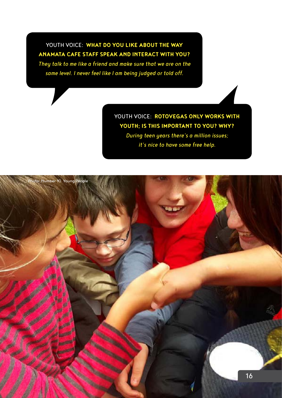## YOUTH VOICE: **WHAT DO YOU LIKE ABOUT THE WAY ANAMATA CAFE STAFF SPEAK AND INTERACT WITH YOU?**

*They talk to me like a friend and make sure that we are on the same level. I never feel like I am being judged or told off.*

> YOUTH VOICE: **ROTOVEGAS ONLY WORKS WITH YOUTH; IS THIS IMPORTANT TO YOU? WHY?**  *During teen years there's a million issues;*

> > *it's nice to have some free help.*

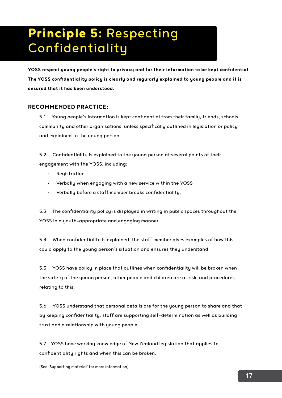# Principle 5: Respecting Confidentiality

**YOSS respect young people's right to privacy and for their information to be kept confidential. The YOSS confidentiality policy is clearly and regularly explained to young people and it is ensured that it has been understood.** 

## **RECOMMENDED PRACTICE:**

5.1 Young people's information is kept confidential from their family, friends, schools, community and other organisations, unless specifically outlined in legislation or policy and explained to the young person.

5.2 Confidentiality is explained to the young person at several points of their engagement with the YOSS, including:

- Registration
- Verbally when engaging with a new service within the YOSS
- Verbally before a staff member breaks confidentiality.

5.3 The confidentiality policy is displayed in writing in public spaces throughout the YOSS in a youth-appropriate and engaging manner.

5.4 When confidentiality is explained, the staff member gives examples of how this could apply to the young person's situation and ensures they understand.

5.5 YOSS have policy in place that outlines when confidentiality will be broken when the safety of the young person, other people and children are at risk, and procedures relating to this.

5.6 YOSS understand that personal details are for the young person to share and that by keeping confidentiality, staff are supporting self-determination as well as building trust and a relationship with young people.

5.7 YOSS have working knowledge of New Zealand legislation that applies to confidentiality rights and when this can be broken.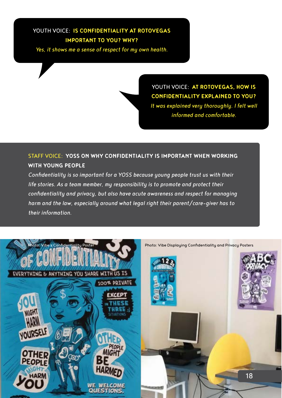## YOUTH VOICE: **IS CONFIDENTIALITY AT ROTOVEGAS IMPORTANT TO YOU? WHY?**

*Yes, it shows me a sense of respect for my own health.*

YOUTH VOICE: **AT ROTOVEGAS, HOW IS CONFIDENTIALITY EXPLAINED TO YOU?**  *It was explained very thoroughly. I felt well informed and comfortable.*

## STAFF VOICE: **YOSS ON WHY CONFIDENTIALITY IS IMPORTANT WHEN WORKING WITH YOUNG PEOPLE**

*Confidentiality is so important for a YOSS because young people trust us with their life stories. As a team member, my responsibility is to promote and protect their confidentiality and privacy, but also have acute awareness and respect for managing harm and the law, especially around what legal right their parent/care-giver has to their information.*

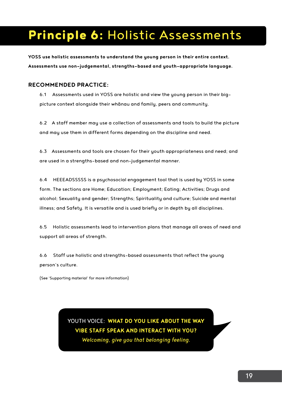## Principle 6: Holistic Assessments

**YOSS use holistic assessments to understand the young person in their entire context. Assessments use non-judgemental, strengths-based and youth-appropriate language.**

## **RECOMMENDED PRACTICE:**

6.1 Assessments used in YOSS are holistic and view the young person in their bigpicture context alongside their whānau and family, peers and community.

6.2 A staff member may use a collection of assessments and tools to build the picture and may use them in different forms depending on the discipline and need.

6.3 Assessments and tools are chosen for their youth appropriateness and need; and are used in a strengths-based and non-judgemental manner.

6.4 HEEEADSSSSS is a psychosocial engagement tool that is used by YOSS in some form. The sections are Home; Education; Employment; Eating; Activities; Drugs and alcohol; Sexuality and gender; Strengths; Spirituality and culture; Suicide and mental illness; and Safety. It is versatile and is used briefly or in depth by all disciplines.

6.5 Holistic assessments lead to intervention plans that manage all areas of need and support all areas of strength.

6.6 Staff use holistic and strengths-based assessments that reflect the young person's culture.

(See 'Supporting material' for more information)

YOUTH VOICE: **WHAT DO YOU LIKE ABOUT THE WAY VIBE STAFF SPEAK AND INTERACT WITH YOU?**  *Welcoming, give you that belonging feeling.*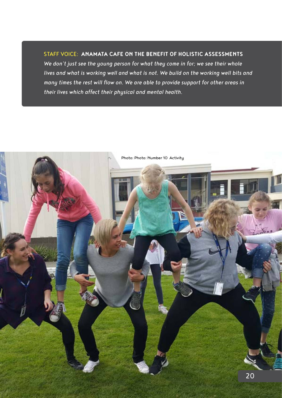## STAFF VOICE: **ANAMATA CAFE ON THE BENEFIT OF HOLISTIC ASSESSMENTS**

*We don't just see the young person for what they come in for; we see their whole lives and what is working well and what is not. We build on the working well bits and many times the rest will flow on. We are able to provide support for other areas in their lives which affect their physical and mental health.* 

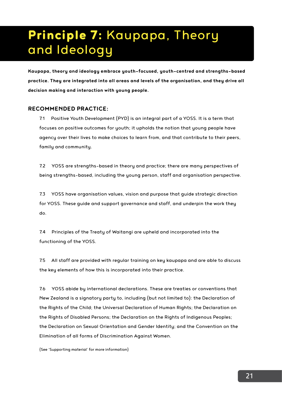# Principle 7: Kaupapa, Theory and Ideology

**Kaupapa, theory and ideology embrace youth-focused, youth-centred and strengths-based practice. They are integrated into all areas and levels of the organisation, and they drive all decision making and interaction with young people.** 

### **RECOMMENDED PRACTICE:**

7.1 Positive Youth Development (PYD) is an integral part of a YOSS. It is a term that focuses on positive outcomes for youth; it upholds the notion that young people have agency over their lives to make choices to learn from, and that contribute to their peers, family and community.

7.2 YOSS are strengths-based in theory and practice; there are many perspectives of being strengths-based, including the young person, staff and organisation perspective.

7.3 YOSS have organisation values, vision and purpose that guide strategic direction for YOSS. These guide and support governance and staff, and underpin the work they do.

7.4 Principles of the Treaty of Waitangi are upheld and incorporated into the functioning of the YOSS.

7.5 All staff are provided with regular training on key kaupapa and are able to discuss the key elements of how this is incorporated into their practice.

7.6 YOSS abide by international declarations. These are treaties or conventions that New Zealand is a signatory party to, including (but not limited to): the Declaration of the Rights of the Child; the Universal Declaration of Human Rights; the Declaration on the Rights of Disabled Persons; the Declaration on the Rights of Indigenous Peoples; the Declaration on Sexual Orientation and Gender Identity; and the Convention on the Elimination of all forms of Discrimination Against Women.

(See 'Supporting material' for more information)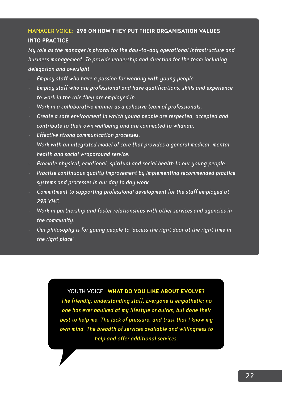## MANAGER VOICE: **298 ON HOW THEY PUT THEIR ORGANISATION VALUES INTO PRACTICE**

*My role as the manager is pivotal for the day-to-day operational infrastructure and business management. To provide leadership and direction for the team including delegation and oversight.* 

- *• Employ staff who have a passion for working with young people.*
- *• Employ staff who are professional and have qualifications, skills and experience to work in the role they are employed in.*
- *• Work in a collaborative manner as a cohesive team of professionals.*
- *• Create a safe environment in which young people are respected, accepted and contribute to their own wellbeing and are connected to whānau.*
- *• Effective strong communication processes.*
- *• Work with an integrated model of care that provides a general medical, mental health and social wraparound service.*
- *• Promote physical, emotional, spiritual and social health to our young people.*
- *• Practise continuous quality improvement by implementing recommended practice systems and processes in our day to day work.*
- *• Commitment to supporting professional development for the staff employed at 298 YHC.*
- *• Work in partnership and foster relationships with other services and agencies in the community.*
- *• Our philosophy is for young people to 'access the right door at the right time in the right place'.*

YOUTH VOICE: **WHAT DO YOU LIKE ABOUT EVOLVE?**

*The friendly, understanding staff. Everyone is empathetic; no one has ever baulked at my lifestyle or quirks, but done their best to help me. The lack of pressure, and trust that I know my own mind. The breadth of services available and willingness to help and offer additional services.*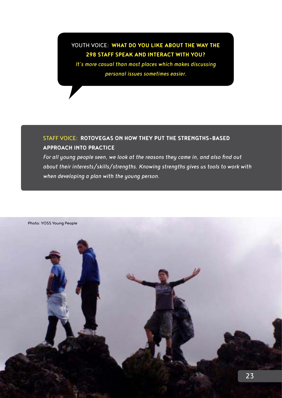## YOUTH VOICE: **WHAT DO YOU LIKE ABOUT THE WAY THE 298 STAFF SPEAK AND INTERACT WITH YOU?**

*It's more casual than most places which makes discussing personal issues sometimes easier.* 

## STAFF VOICE: **ROTOVEGAS ON HOW THEY PUT THE STRENGTHS-BASED APPROACH INTO PRACTICE**

*For all young people seen, we look at the reasons they came in, and also find out about their interests/skills/strengths. Knowing strengths gives us tools to work with when developing a plan with the young person.* 

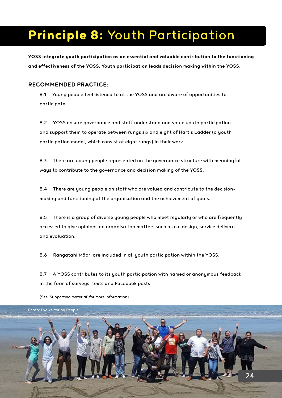## Principle 8: Youth Participation

**YOSS integrate youth participation as an essential and valuable contribution to the functioning and effectiveness of the YOSS. Youth participation leads decision making within the YOSS.**

## **RECOMMENDED PRACTICE:**

8.1 Young people feel listened to at the YOSS and are aware of opportunities to participate.

8.2 YOSS ensure governance and staff understand and value youth participation and support them to operate between rungs six and eight of Hart's Ladder (a youth participation model, which consist of eight rungs) in their work.

8.3 There are young people represented on the governance structure with meaningful ways to contribute to the governance and decision making of the YOSS.

8.4 There are young people on staff who are valued and contribute to the decisionmaking and functioning of the organisation and the achievement of goals.

8.5 There is a group of diverse young people who meet regularly or who are frequently accessed to give opinions on organisation matters such as co-design, service delivery and evaluation.

8.6 Rangatahi Māori are included in all youth participation within the YOSS.

8.7 A YOSS contributes to its youth participation with named or anonymous feedback in the form of surveys, texts and Facebook posts.



(See 'Supporting material' for more information)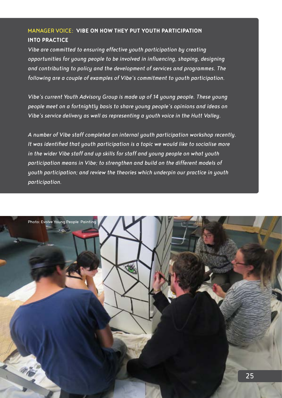## MANAGER VOICE: **VIBE ON HOW THEY PUT YOUTH PARTICIPATION INTO PRACTICE**

*Vibe are committed to ensuring effective youth participation by creating opportunities for young people to be involved in influencing, shaping, designing and contributing to policy and the development of services and programmes. The following are a couple of examples of Vibe's commitment to youth participation.*

*Vibe's current Youth Advisory Group is made up of 14 young people. These young people meet on a fortnightly basis to share young people's opinions and ideas on Vibe's service delivery as well as representing a youth voice in the Hutt Valley.* 

*A number of Vibe staff completed an internal youth participation workshop recently. It was identified that youth participation is a topic we would like to socialise more in the wider Vibe staff and up skills for staff and young people on what youth participation means in Vibe; to strengthen and build on the different models of youth participation; and review the theories which underpin our practice in youth participation.* 

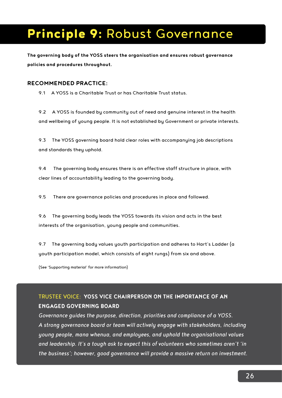## Principle 9: Robust Governance

**The governing body of the YOSS steers the organisation and ensures robust governance policies and procedures throughout.** 

#### **RECOMMENDED PRACTICE:**

9.1 A YOSS is a Charitable Trust or has Charitable Trust status.

9.2 A YOSS is founded by community out of need and genuine interest in the health and wellbeing of young people. It is not established by Government or private interests.

9.3 The YOSS governing board hold clear roles with accompanying job descriptions and standards they uphold.

9.4 The governing body ensures there is an effective staff structure in place, with clear lines of accountability leading to the governing body.

9.5 There are governance policies and procedures in place and followed.

9.6 The governing body leads the YOSS towards its vision and acts in the best interests of the organisation, young people and communities.

9.7 The governing body values youth participation and adheres to Hart's Ladder (a youth participation model, which consists of eight rungs) from six and above.

(See 'Supporting material' for more information)

## TRUSTEE VOICE: **YOSS VICE CHAIRPERSON ON THE IMPORTANCE OF AN ENGAGED GOVERNING BOARD**

*Governance guides the purpose, direction, priorities and compliance of a YOSS. A strong governance board or team will actively engage with stakeholders, including young people, mana whenua, and employees, and uphold the organisational values and leadership. It's a tough ask to expect this of volunteers who sometimes aren't 'in the business'; however, good governance will provide a massive return on investment.*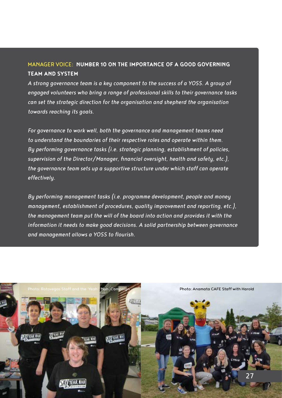## MANAGER VOICE: **NUMBER 10 ON THE IMPORTANCE OF A GOOD GOVERNING TEAM AND SYSTEM**

*A strong governance team is a key component to the success of a YOSS. A group of engaged volunteers who bring a range of professional skills to their governance tasks can set the strategic direction for the organisation and shepherd the organisation towards reaching its goals.* 

*For governance to work well, both the governance and management teams need to understand the boundaries of their respective roles and operate within them. By performing governance tasks (i.e. strategic planning, establishment of policies, supervision of the Director/Manager, financial oversight, health and safety, etc.), the governance team sets up a supportive structure under which staff can operate effectively.* 

*By performing management tasks (i.e. programme development, people and money management, establishment of procedures, quality improvement and reporting, etc.), the management team put the will of the board into action and provides it with the information it needs to make good decisions. A solid partnership between governance and management allows a YOSS to flourish.*

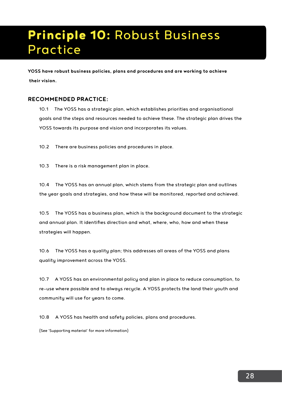## Principle 10: Robust Business Practice

**YOSS have robust business policies, plans and procedures and are working to achieve their vision.**

### **RECOMMENDED PRACTICE:**

10.1 The YOSS has a strategic plan, which establishes priorities and organisational goals and the steps and resources needed to achieve these. The strategic plan drives the YOSS towards its purpose and vision and incorporates its values.

10.2 There are business policies and procedures in place.

10.3 There is a risk management plan in place.

10.4 The YOSS has an annual plan, which stems from the strategic plan and outlines the year goals and strategies, and how these will be monitored, reported and achieved.

10.5 The YOSS has a business plan, which is the background document to the strategic and annual plan. It identifies direction and what, where, who, how and when these strategies will happen.

10.6 The YOSS has a quality plan; this addresses all areas of the YOSS and plans quality improvement across the YOSS.

10.7 A YOSS has an environmental policy and plan in place to reduce consumption, to re-use where possible and to always recycle. A YOSS protects the land their youth and community will use for years to come.

10.8 A YOSS has health and safety policies, plans and procedures.

(See 'Supporting material' for more information)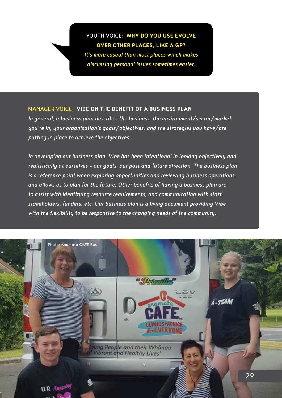## YOUTH VOICE: **WHY DO YOU USE EVOLVE OVER OTHER PLACES, LIKE A GP?**

*It's more casual than most places which makes discussing personal issues sometimes easier.* 

## MANAGER VOICE: **VIBE ON THE BENEFIT OF A BUSINESS PLAN**

*In general, a business plan describes the business, the environment/sector/market you're in, your organisation's goals/objectives, and the strategies you have/are putting in place to achieve the objectives.* 

*In developing our business plan, Vibe has been intentional in looking objectively and realistically at ourselves – our goals, our past and future direction. The business plan is a reference point when exploring opportunities and reviewing business operations, and allows us to plan for the future. Other benefits of having a business plan are to assist with identifying resource requirements, and communicating with staff, stakeholders, funders, etc. Our business plan is a living document providing Vibe with the flexibility to be responsive to the changing needs of the community.* 

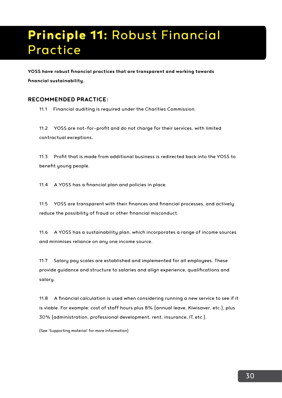# Principle 11: Robust Financial Practice

**YOSS have robust financial practices that are transparent and working towards financial sustainability.** 

## **RECOMMENDED PRACTICE:**

11.1 Financial auditing is required under the Charities Commission.

11.2 YOSS are not-for-profit and do not charge for their services, with limited contractual exceptions.

11.3 Profit that is made from additional business is redirected back into the YOSS to benefit young people.

11.4 A YOSS has a financial plan and policies in place.

11.5 YOSS are transparent with their finances and financial processes, and actively reduce the possibility of fraud or other financial misconduct.

11.6 A YOSS has a sustainability plan, which incorporates a range of income sources and minimises reliance on any one income source.

11.7 Salary pay scales are established and implemented for all employees. These provide guidance and structure to salaries and align experience, qualifications and salary.

11.8 A financial calculation is used when considering running a new service to see if it is viable. For example: cost of staff hours plus 8% (annual leave, Kiwisaver, etc.), plus 30% (administration, professional development, rent, insurance, IT, etc.).

(See 'Supporting material' for more information)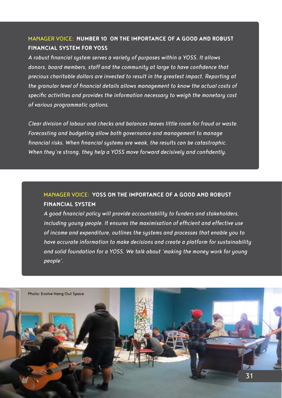## MANAGER VOICE: **NUMBER 10 ON THE IMPORTANCE OF A GOOD AND ROBUST FINANCIAL SYSTEM FOR YOSS**

*A robust financial system serves a variety of purposes within a YOSS. It allows donors, board members, staff and the community at large to have confidence that precious charitable dollars are invested to result in the greatest impact. Reporting at the granular level of financial details allows management to know the actual costs of specific activities and provides the information necessary to weigh the monetary cost of various programmatic options.* 

*Clear division of labour and checks and balances leaves little room for fraud or waste. Forecasting and budgeting allow both governance and management to manage financial risks. When financial systems are weak, the results can be catastrophic. When they're strong, they help a YOSS move forward decisively and confidently.*

## MANAGER VOICE: **YOSS ON THE IMPORTANCE OF A GOOD AND ROBUST FINANCIAL SYSTEM**

*A good financial policy will provide accountability to funders and stakeholders, including young people. It ensures the maximisation of efficient and effective use of income and expenditure, outlines the systems and processes that enable you to have accurate information to make decisions and create a platform for sustainability and solid foundation for a YOSS. We talk about 'making the money work for young people'.*

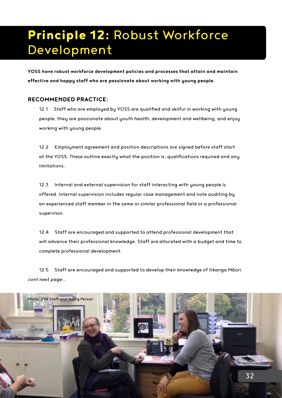# Principle 12: Robust Workforce Development

**YOSS have robust workforce development policies and processes that attain and maintain effective and happy staff who are passionate about working with young people.** 

### **RECOMMENDED PRACTICE:**

12.1 Staff who are employed by YOSS are qualified and skilful in working with young people, they are passionate about youth health, development and wellbeing, and enjoy working with young people.

12.2 Employment agreement and position descriptions are signed before staff start at the YOSS. These outline exactly what the position is, qualifications required and any limitations.

12.3 Internal and external supervision for staff interacting with young people is offered. Internal supervision includes regular case management and note auditing by an experienced staff member in the same or similar professional field or a professional supervisor.

12.4 Staff are encouraged and supported to attend professional development that will advance their professional knowledge. Staff are allocated with a budget and time to complete professional development.

12.5 Staff are encouraged and supported to develop their knowledge of tikanga Māori. *cont next page...*

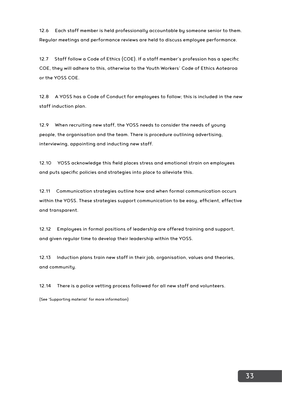12.6 Each staff member is held professionally accountable by someone senior to them. Regular meetings and performance reviews are held to discuss employee performance.

12.7 Staff follow a Code of Ethics (COE). If a staff member's profession has a specific COE, they will adhere to this, otherwise to the Youth Workers' Code of Ethics Aotearoa or the YOSS COE.

12.8 A YOSS has a Code of Conduct for emplouees to follow; this is included in the new staff induction plan.

12.9 When recruiting new staff, the YOSS needs to consider the needs of young people, the organisation and the team. There is procedure outlining advertising, interviewing, appointing and inducting new staff.

12.10 YOSS acknowledge this field places stress and emotional strain on employees and puts specific policies and strategies into place to alleviate this.

12.11 Communication strategies outline how and when formal communication occurs within the YOSS. These strategies support communication to be easy, efficient, effective and transparent.

12.12 Employees in formal positions of leadership are offered training and support, and given regular time to develop their leadership within the YOSS.

12.13 Induction plans train new staff in their job, organisation, values and theories, and community.

12.14 There is a police vetting process followed for all new staff and volunteers.

(See 'Supporting material' for more information)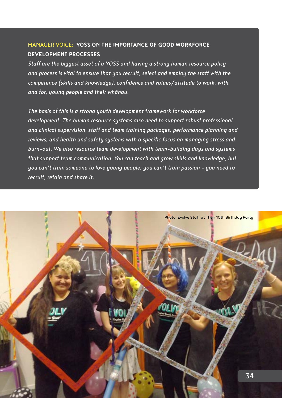## MANAGER VOICE: **YOSS ON THE IMPORTANCE OF GOOD WORKFORCE DEVELOPMENT PROCESSES**

*Staff are the biggest asset of a YOSS and having a strong human resource policy and process is vital to ensure that you recruit, select and employ the staff with the competence (skills and knowledge), confidence and values/attitude to work, with and for, young people and their whānau.* 

*The basis of this is a strong youth development framework for workforce development. The human resource systems also need to support robust professional and clinical supervision, staff and team training packages, performance planning and reviews, and health and safety systems with a specific focus on managing stress and burn-out. We also resource team development with team-building days and systems that support team communication. You can teach and grow skills and knowledge, but you can't train someone to love young people; you can't train passion – you need to recruit, retain and share it.*

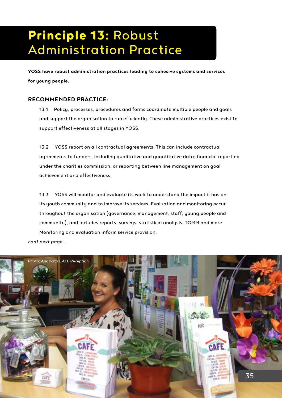# Principle 13: Robust Administration Practice

**YOSS have robust administration practices leading to cohesive systems and services for young people.**

### **RECOMMENDED PRACTICE:**

13.1 Policy, processes, procedures and forms coordinate multiple people and goals and support the organisation to run efficiently. These administrative practices exist to support effectiveness at all stages in YOSS.

13.2 YOSS report on all contractual agreements. This can include contractual agreements to funders, including qualitative and quantitative data; financial reporting under the charities commission; or reporting between line management on goal achievement and effectiveness.

13.3 YOSS will monitor and evaluate its work to understand the impact it has on its youth community and to improve its services. Evaluation and monitoring occur throughout the organisation (governance, management, staff, young people and community), and includes reports, surveys, statistical analysis, TOMM and more. Monitoring and evaluation inform service provision.

*cont next page...*

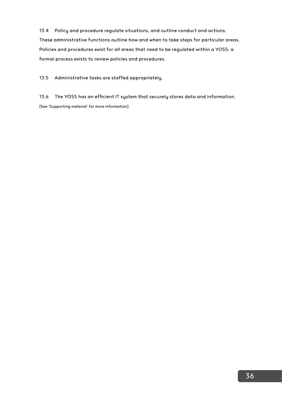13.4 Policy and procedure regulate situations, and outline conduct and actions. These administrative functions outline how and when to take steps for particular areas. Policies and procedures exist for all areas that need to be regulated within a YOSS; a formal process exists to review policies and procedures.

13.5 Administrative tasks are staffed appropriately.

13.6 The YOSS has an efficient IT system that securely stores data and information. (See 'Supporting material' for more information)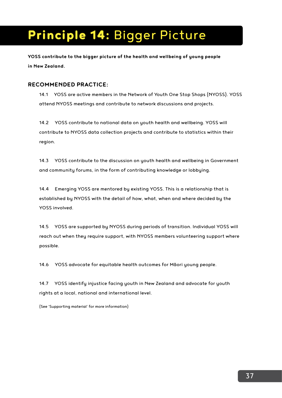# Principle 14: Bigger Picture

**YOSS contribute to the bigger picture of the health and wellbeing of young people in New Zealand.** 

## **RECOMMENDED PRACTICE:**

14.1 YOSS are active members in the Network of Youth One Stop Shops (NYOSS). YOSS attend NYOSS meetings and contribute to network discussions and projects.

14.2 YOSS contribute to national data on youth health and wellbeing. YOSS will contribute to NYOSS data collection projects and contribute to statistics within their region.

14.3 YOSS contribute to the discussion on youth health and wellbeing in Government and community forums, in the form of contributing knowledge or lobbying.

14.4 Emerging YOSS are mentored by existing YOSS. This is a relationship that is established by NYOSS with the detail of how, what, when and where decided by the YOSS involved.

14.5 YOSS are supported by NYOSS during periods of transition. Individual YOSS will reach out when they require support, with NYOSS members volunteering support where possible.

14.6 YOSS advocate for equitable health outcomes for Māori young people.

14.7 YOSS identify injustice facing youth in New Zealand and advocate for youth rights at a local, national and international level.

(See 'Supporting material' for more information)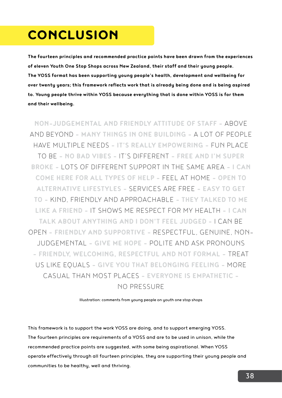## **CONCLUSION**

**The fourteen principles and recommended practice points have been drawn from the experiences of eleven Youth One Stop Shops across New Zealand, their staff and their young people. The YOSS format has been supporting young people's health, development and wellbeing for over twenty years; this framework reflects work that is already being done and is being aspired to. Young people thrive within YOSS because everything that is done within YOSS is for them and their wellbeing.** 

**NON-JUDGEMENTAL AND FRIENDLY ATTITUDE OF STAFF -** ABOVE AND BEYOND **- MANY THINGS IN ONE BUILDING -** A LOT OF PEOPLE HAVE MULTIPLE NEEDS **- IT'S REALLY EMPOWERING -** FUN PLACE TO BE **- NO BAD VIBES -** IT'S DIFFERENT **- FREE AND I'M SUPER BROKE -** LOTS OF DIFFERENT SUPPORT IN THE SAME AREA **- I CAN COME HERE FOR ALL TYPES OF HELP -** FEEL AT HOME **- OPEN TO ALTERNATIVE LIFESTYLES -** SERVICES ARE FREE **- EASY TO GET TO -** KIND, FRIENDLY AND APPROACHABLE **- THEY TALKED TO ME LIKE A FRIEND -** IT SHOWS ME RESPECT FOR MY HEALTH **- I CAN TALK ABOUT ANYTHING AND I DON'T FEEL JUDGED -** I CAN BE OPEN **- FRIENDLY AND SUPPORTIVE -** RESPECTFUL, GENUINE, NON-JUDGEMENTAL **- GIVE ME HOPE -** POLITE AND ASK PRONOUNS **- FRIENDLY, WELCOMING, RESPECTFUL AND NOT FORMAL -** TREAT US LIKE EQUALS **- GIVE YOU THAT BELONGING FEELING -** MORE CASUAL THAN MOST PLACES **- EVERYONE IS EMPATHETIC -**  NO PRESSURE

Illustration: comments from young people on youth one stop shops

This framework is to support the work YOSS are doing, and to support emerging YOSS. The fourteen principles are requirements of a YOSS and are to be used in unison, while the recommended practice points are suggested, with some being aspirational. When YOSS operate effectively through all fourteen principles, they are supporting their young people and communities to be healthy, well and thriving.